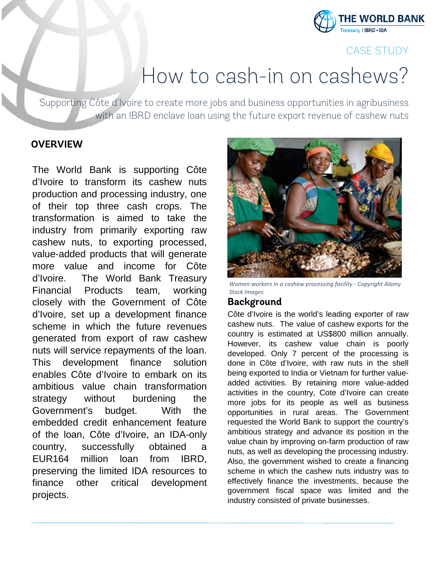

# CASE STUDY

# How to cash-in on cashews?

Supporting Côte d'Ivoire to create more jobs and business opportunities in agribusiness with an IBRD enclave loan using the future export revenue of cashew nuts

#### **OVERVIEW**

The World Bank is supporting Côte d'Ivoire to transform its cashew nuts production and processing industry, one of their top three cash crops. The transformation is aimed to take the industry from primarily exporting raw cashew nuts, to exporting processed, value-added products that will generate more value and income for Côte d'Ivoire. The World Bank Treasury Financial Products team, working closely with the Government of Côte d'Ivoire, set up a development finance scheme in which the future revenues generated from export of raw cashew nuts will service repayments of the loan. This development finance solution enables Côte d'Ivoire to embark on its ambitious value chain transformation strategy without burdening the Government's budget. With the embedded credit enhancement feature of the loan, Côte d'Ivoire, an IDA-only country, successfully obtained a EUR164 million loan from IBRD, preserving the limited IDA resources to finance other critical development projects.



*Women workers in a cashew processing facility - Copyright Alamy Stock Images*

#### **Background**

Côte d'Ivoire is the world's leading exporter of raw cashew nuts. The value of cashew exports for the country is estimated at US\$800 million annually. However, its cashew value chain is poorly developed. Only 7 percent of the processing is done in Côte d'Ivoire, with raw nuts in the shell being exported to India or Vietnam for further valueadded activities. By retaining more value-added activities in the country, Cote d'Ivoire can create more jobs for its people as well as business opportunities in rural areas. The Government requested the World Bank to support the country's ambitious strategy and advance its position in the value chain by improving on-farm production of raw nuts, as well as developing the processing industry. Also, the government wished to create a financing scheme in which the cashew nuts industry was to effectively finance the investments, because the government fiscal space was limited and the industry consisted of private businesses.